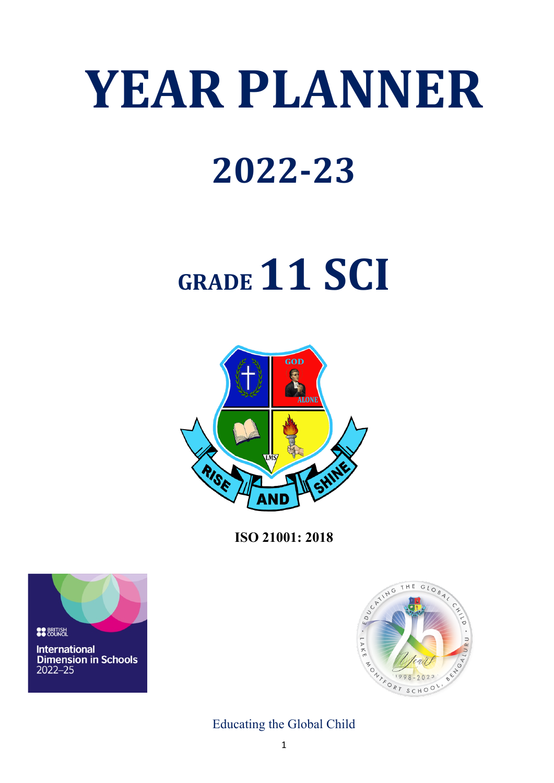# **YEAR PLANNER**

### **2022-23**

## **GRADE 11 SCI**



**ISO 21001: 2018**





Educating the Global Child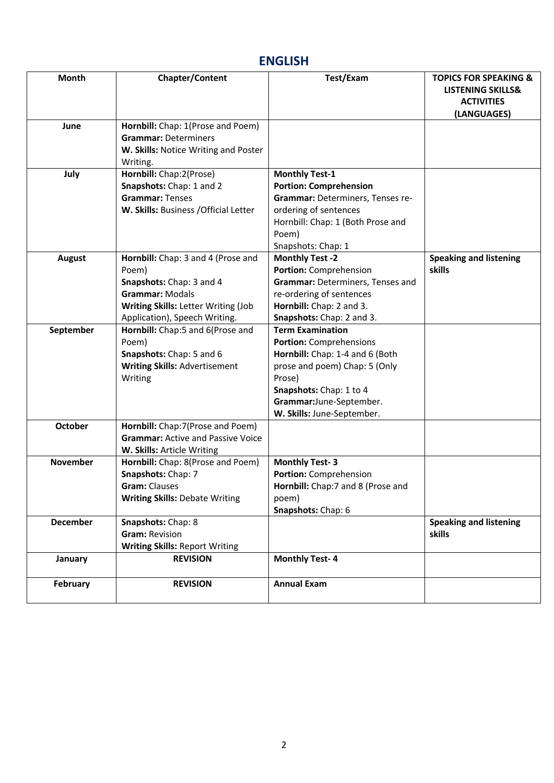#### **ENGLISH**

| Month           | Chapter/Content                                                                                                                                                           | Test/Exam                                                                                                                                                                                                                   | <b>TOPICS FOR SPEAKING &amp;</b><br><b>LISTENING SKILLS&amp;</b> |
|-----------------|---------------------------------------------------------------------------------------------------------------------------------------------------------------------------|-----------------------------------------------------------------------------------------------------------------------------------------------------------------------------------------------------------------------------|------------------------------------------------------------------|
|                 |                                                                                                                                                                           |                                                                                                                                                                                                                             | <b>ACTIVITIES</b><br>(LANGUAGES)                                 |
| June            | Hornbill: Chap: 1(Prose and Poem)<br><b>Grammar: Determiners</b><br>W. Skills: Notice Writing and Poster<br>Writing.                                                      |                                                                                                                                                                                                                             |                                                                  |
| July            | Hornbill: Chap:2(Prose)<br>Snapshots: Chap: 1 and 2<br><b>Grammar: Tenses</b><br>W. Skills: Business / Official Letter                                                    | <b>Monthly Test-1</b><br><b>Portion: Comprehension</b><br>Grammar: Determiners, Tenses re-<br>ordering of sentences<br>Hornbill: Chap: 1 (Both Prose and<br>Poem)<br>Snapshots: Chap: 1                                     |                                                                  |
| <b>August</b>   | Hornbill: Chap: 3 and 4 (Prose and<br>Poem)<br>Snapshots: Chap: 3 and 4<br><b>Grammar: Modals</b><br>Writing Skills: Letter Writing (Job<br>Application), Speech Writing. | <b>Monthly Test -2</b><br>Portion: Comprehension<br>Grammar: Determiners, Tenses and<br>re-ordering of sentences<br>Hornbill: Chap: 2 and 3.<br>Snapshots: Chap: 2 and 3.                                                   | <b>Speaking and listening</b><br>skills                          |
| September       | Hornbill: Chap:5 and 6(Prose and<br>Poem)<br>Snapshots: Chap: 5 and 6<br><b>Writing Skills: Advertisement</b><br>Writing                                                  | <b>Term Examination</b><br><b>Portion: Comprehensions</b><br>Hornbill: Chap: 1-4 and 6 (Both<br>prose and poem) Chap: 5 (Only<br>Prose)<br>Snapshots: Chap: 1 to 4<br>Grammar:June-September.<br>W. Skills: June-September. |                                                                  |
| October         | Hornbill: Chap:7(Prose and Poem)<br><b>Grammar: Active and Passive Voice</b><br>W. Skills: Article Writing                                                                |                                                                                                                                                                                                                             |                                                                  |
| November        | Hornbill: Chap: 8(Prose and Poem)<br>Snapshots: Chap: 7<br><b>Gram: Clauses</b><br><b>Writing Skills: Debate Writing</b>                                                  | <b>Monthly Test-3</b><br>Portion: Comprehension<br>Hornbill: Chap:7 and 8 (Prose and<br>poem)<br>Snapshots: Chap: 6                                                                                                         |                                                                  |
| <b>December</b> | Snapshots: Chap: 8<br>Gram: Revision<br><b>Writing Skills: Report Writing</b>                                                                                             |                                                                                                                                                                                                                             | <b>Speaking and listening</b><br>skills                          |
| January         | <b>REVISION</b>                                                                                                                                                           | <b>Monthly Test-4</b>                                                                                                                                                                                                       |                                                                  |
| <b>February</b> | <b>REVISION</b>                                                                                                                                                           | <b>Annual Exam</b>                                                                                                                                                                                                          |                                                                  |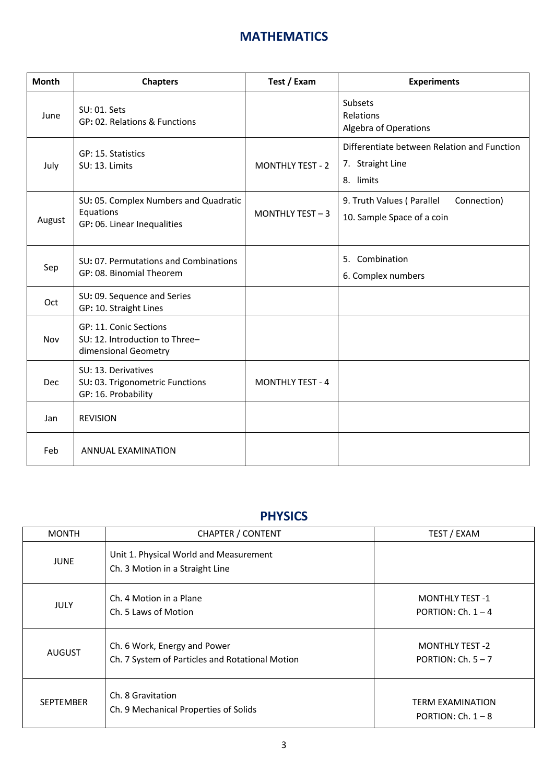#### **MATHEMATICS**

| <b>Month</b> | <b>Chapters</b>                                                                   | Test / Exam             | <b>Experiments</b>                                                           |
|--------------|-----------------------------------------------------------------------------------|-------------------------|------------------------------------------------------------------------------|
| June         | SU: 01. Sets<br>GP: 02. Relations & Functions                                     |                         | Subsets<br>Relations<br>Algebra of Operations                                |
| July         | GP: 15. Statistics<br>SU: 13. Limits                                              | <b>MONTHLY TEST - 2</b> | Differentiate between Relation and Function<br>7. Straight Line<br>8. limits |
| August       | SU: 05. Complex Numbers and Quadratic<br>Equations<br>GP: 06. Linear Inequalities | MONTHLY TEST - 3        | Connection)<br>9. Truth Values (Parallel<br>10. Sample Space of a coin       |
| Sep          | SU: 07. Permutations and Combinations<br>GP: 08. Binomial Theorem                 |                         | 5. Combination<br>6. Complex numbers                                         |
| Oct          | SU: 09. Sequence and Series<br>GP: 10. Straight Lines                             |                         |                                                                              |
| Nov          | GP: 11. Conic Sections<br>SU: 12. Introduction to Three-<br>dimensional Geometry  |                         |                                                                              |
| Dec          | SU: 13. Derivatives<br>SU: 03. Trigonometric Functions<br>GP: 16. Probability     | <b>MONTHLY TEST - 4</b> |                                                                              |
| Jan          | <b>REVISION</b>                                                                   |                         |                                                                              |
| Feb          | ANNUAL EXAMINATION                                                                |                         |                                                                              |

#### **PHYSICS**

| <b>MONTH</b>     | <b>CHAPTER / CONTENT</b>                                                        | TEST / EXAM                                     |
|------------------|---------------------------------------------------------------------------------|-------------------------------------------------|
| <b>JUNE</b>      | Unit 1. Physical World and Measurement<br>Ch. 3 Motion in a Straight Line       |                                                 |
| <b>JULY</b>      | Ch. 4 Motion in a Plane<br>Ch. 5 Laws of Motion                                 | <b>MONTHLY TEST -1</b><br>PORTION: Ch. $1 - 4$  |
| <b>AUGUST</b>    | Ch. 6 Work, Energy and Power<br>Ch. 7 System of Particles and Rotational Motion | <b>MONTHLY TEST -2</b><br>PORTION: $Ch. 5-7$    |
| <b>SEPTEMBER</b> | Ch. 8 Gravitation<br>Ch. 9 Mechanical Properties of Solids                      | <b>TERM EXAMINATION</b><br>PORTION: Ch. $1 - 8$ |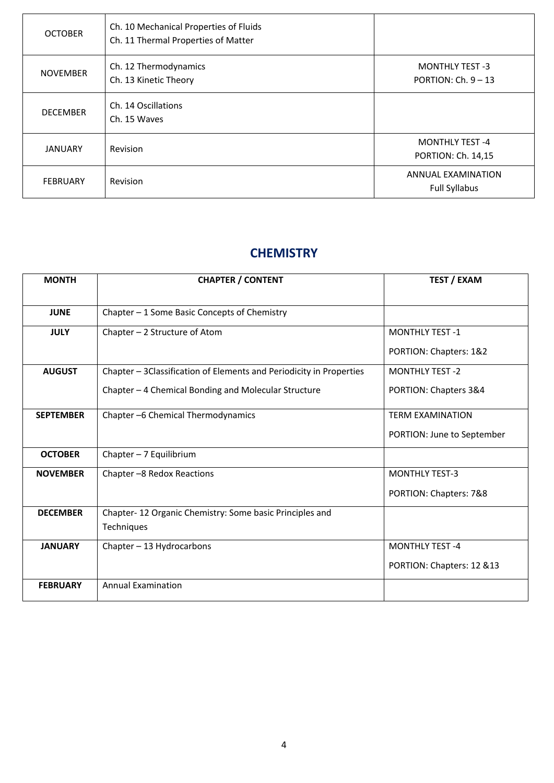| <b>OCTOBER</b>  | Ch. 10 Mechanical Properties of Fluids<br>Ch. 11 Thermal Properties of Matter |                                                   |
|-----------------|-------------------------------------------------------------------------------|---------------------------------------------------|
| <b>NOVEMBER</b> | Ch. 12 Thermodynamics<br>Ch. 13 Kinetic Theory                                | <b>MONTHLY TEST -3</b><br>PORTION: $Ch. 9 - 13$   |
| <b>DECEMBER</b> | Ch. 14 Oscillations<br>Ch. 15 Waves                                           |                                                   |
| <b>JANUARY</b>  | Revision                                                                      | <b>MONTHLY TEST -4</b><br>PORTION: Ch. 14,15      |
| <b>FEBRUARY</b> | Revision                                                                      | <b>ANNUAL EXAMINATION</b><br><b>Full Syllabus</b> |

#### **CHEMISTRY**

| <b>MONTH</b>     | <b>CHAPTER / CONTENT</b>                                            | <b>TEST / EXAM</b>         |
|------------------|---------------------------------------------------------------------|----------------------------|
| <b>JUNE</b>      | Chapter - 1 Some Basic Concepts of Chemistry                        |                            |
| <b>JULY</b>      | Chapter $-2$ Structure of Atom                                      | <b>MONTHLY TEST -1</b>     |
|                  |                                                                     | PORTION: Chapters: 1&2     |
| <b>AUGUST</b>    | Chapter - 3Classification of Elements and Periodicity in Properties | <b>MONTHLY TEST -2</b>     |
|                  | Chapter - 4 Chemical Bonding and Molecular Structure                | PORTION: Chapters 3&4      |
| <b>SEPTEMBER</b> | Chapter -6 Chemical Thermodynamics                                  | <b>TERM EXAMINATION</b>    |
|                  |                                                                     | PORTION: June to September |
| <b>OCTOBER</b>   | Chapter $-7$ Equilibrium                                            |                            |
| <b>NOVEMBER</b>  | Chapter -8 Redox Reactions                                          | <b>MONTHLY TEST-3</b>      |
|                  |                                                                     | PORTION: Chapters: 7&8     |
| <b>DECEMBER</b>  | Chapter-12 Organic Chemistry: Some basic Principles and             |                            |
|                  | Techniques                                                          |                            |
| <b>JANUARY</b>   | Chapter - 13 Hydrocarbons                                           | <b>MONTHLY TEST-4</b>      |
|                  |                                                                     | PORTION: Chapters: 12 &13  |
| <b>FEBRUARY</b>  | <b>Annual Examination</b>                                           |                            |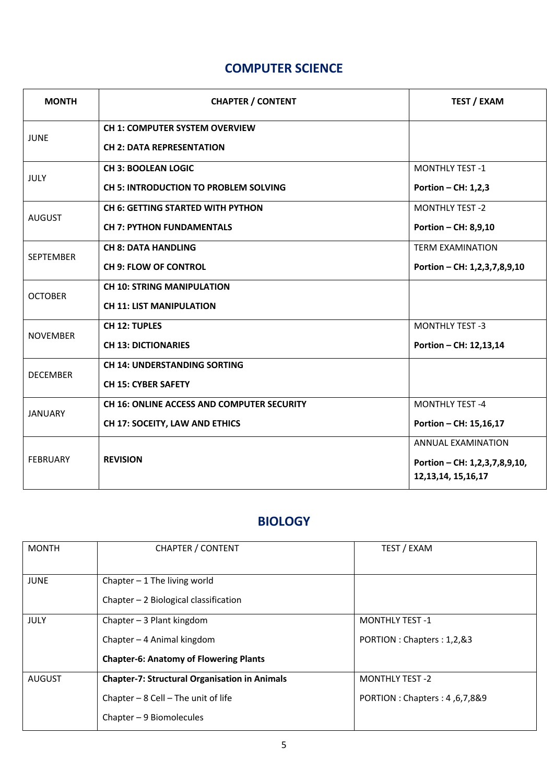#### **COMPUTER SCIENCE**

| <b>MONTH</b>    | <b>CHAPTER / CONTENT</b>                          | <b>TEST / EXAM</b>            |
|-----------------|---------------------------------------------------|-------------------------------|
| <b>JUNE</b>     | <b>CH 1: COMPUTER SYSTEM OVERVIEW</b>             |                               |
|                 | <b>CH 2: DATA REPRESENTATION</b>                  |                               |
| <b>JULY</b>     | <b>CH 3: BOOLEAN LOGIC</b>                        | <b>MONTHLY TEST -1</b>        |
|                 | <b>CH 5: INTRODUCTION TO PROBLEM SOLVING</b>      | Portion - CH: 1,2,3           |
| <b>AUGUST</b>   | <b>CH 6: GETTING STARTED WITH PYTHON</b>          | <b>MONTHLY TEST -2</b>        |
|                 | <b>CH 7: PYTHON FUNDAMENTALS</b>                  | Portion - CH: 8,9,10          |
| SEPTEMBER       | <b>CH 8: DATA HANDLING</b>                        | <b>TERM EXAMINATION</b>       |
|                 | <b>CH 9: FLOW OF CONTROL</b>                      | Portion - CH: 1,2,3,7,8,9,10  |
| <b>OCTOBER</b>  | <b>CH 10: STRING MANIPULATION</b>                 |                               |
|                 | <b>CH 11: LIST MANIPULATION</b>                   |                               |
| <b>NOVEMBER</b> | <b>CH 12: TUPLES</b>                              | <b>MONTHLY TEST -3</b>        |
|                 | <b>CH 13: DICTIONARIES</b>                        | Portion - CH: 12,13,14        |
| <b>DECEMBER</b> | <b>CH 14: UNDERSTANDING SORTING</b>               |                               |
|                 | <b>CH 15: CYBER SAFETY</b>                        |                               |
| <b>JANUARY</b>  | <b>CH 16: ONLINE ACCESS AND COMPUTER SECURITY</b> | <b>MONTHLY TEST-4</b>         |
|                 | CH 17: SOCEITY, LAW AND ETHICS                    | Portion - CH: 15,16,17        |
| <b>FEBRUARY</b> |                                                   | <b>ANNUAL EXAMINATION</b>     |
|                 | <b>REVISION</b>                                   | Portion - CH: 1,2,3,7,8,9,10, |
|                 |                                                   | 12, 13, 14, 15, 16, 17        |

#### **BIOLOGY**

| <b>MONTH</b>  | <b>CHAPTER / CONTENT</b>                             | TEST / EXAM                    |
|---------------|------------------------------------------------------|--------------------------------|
| <b>JUNE</b>   | Chapter $-1$ The living world                        |                                |
|               | Chapter $-2$ Biological classification               |                                |
| <b>JULY</b>   | Chapter $-3$ Plant kingdom                           | <b>MONTHLY TEST -1</b>         |
|               | Chapter - 4 Animal kingdom                           | PORTION : Chapters : 1,2,&3    |
|               | <b>Chapter-6: Anatomy of Flowering Plants</b>        |                                |
| <b>AUGUST</b> | <b>Chapter-7: Structural Organisation in Animals</b> | <b>MONTHLY TEST -2</b>         |
|               | Chapter $-8$ Cell $-$ The unit of life               | PORTION : Chapters : 4,6,7,8&9 |
|               | Chapter $-9$ Biomolecules                            |                                |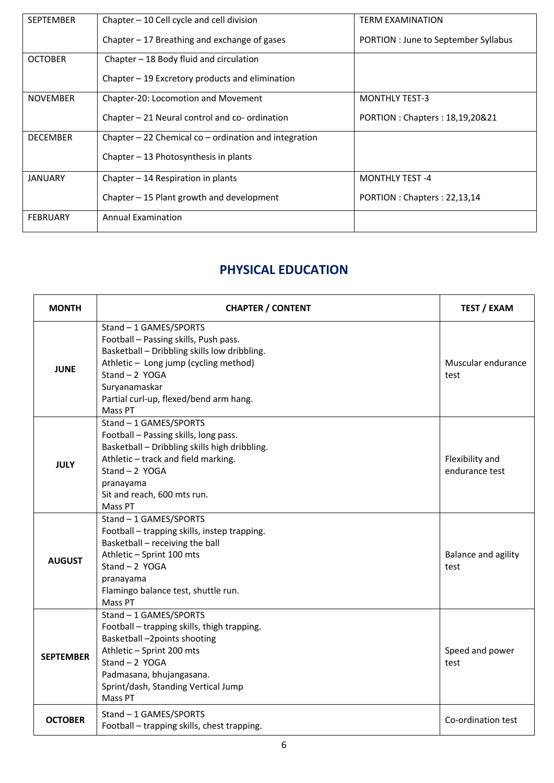| <b>SEPTEMBER</b> | Chapter - 10 Cell cycle and cell division                | <b>TERM EXAMINATION</b>              |
|------------------|----------------------------------------------------------|--------------------------------------|
|                  | Chapter - 17 Breathing and exchange of gases             | PORTION : June to September Syllabus |
| <b>OCTOBER</b>   | Chapter $-18$ Body fluid and circulation                 |                                      |
|                  | Chapter $-19$ Excretory products and elimination         |                                      |
| <b>NOVEMBER</b>  | Chapter-20: Locomotion and Movement                      | <b>MONTHLY TEST-3</b>                |
|                  | Chapter - 21 Neural control and co- ordination           | PORTION : Chapters : 18,19,20&21     |
| <b>DECEMBER</b>  | Chapter $-22$ Chemical co $-$ ordination and integration |                                      |
|                  | Chapter $-13$ Photosynthesis in plants                   |                                      |
| <b>JANUARY</b>   | Chapter $-14$ Respiration in plants                      | <b>MONTHLY TEST -4</b>               |
|                  | Chapter - 15 Plant growth and development                | PORTION : Chapters : 22,13,14        |
| <b>FEBRUARY</b>  | <b>Annual Examination</b>                                |                                      |

#### **PHYSICAL EDUCATION**

| <b>MONTH</b>     | <b>CHAPTER / CONTENT</b>                                                                                                                                                                                                                          | <b>TEST / EXAM</b>                |
|------------------|---------------------------------------------------------------------------------------------------------------------------------------------------------------------------------------------------------------------------------------------------|-----------------------------------|
| <b>JUNE</b>      | Stand - 1 GAMES/SPORTS<br>Football - Passing skills, Push pass.<br>Basketball - Dribbling skills low dribbling.<br>Athletic - Long jump (cycling method)<br>Stand $-2$ YOGA<br>Suryanamaskar<br>Partial curl-up, flexed/bend arm hang.<br>Mass PT | Muscular endurance<br>test        |
| <b>JULY</b>      | Stand - 1 GAMES/SPORTS<br>Football - Passing skills, long pass.<br>Basketball - Dribbling skills high dribbling.<br>Athletic - track and field marking.<br>Stand $-2$ YOGA<br>pranayama<br>Sit and reach, 600 mts run.<br>Mass PT                 | Flexibility and<br>endurance test |
| <b>AUGUST</b>    | Stand - 1 GAMES/SPORTS<br>Football - trapping skills, instep trapping.<br>Basketball - receiving the ball<br>Athletic - Sprint 100 mts<br>Stand $-2$ YOGA<br>pranayama<br>Flamingo balance test, shuttle run.<br>Mass PT                          | Balance and agility<br>test       |
| <b>SEPTEMBER</b> | Stand - 1 GAMES/SPORTS<br>Football - trapping skills, thigh trapping.<br>Basketball-2points shooting<br>Athletic - Sprint 200 mts<br>Stand $-2$ YOGA<br>Padmasana, bhujangasana.<br>Sprint/dash, Standing Vertical Jump<br>Mass PT                | Speed and power<br>test           |
| <b>OCTOBER</b>   | Stand - 1 GAMES/SPORTS<br>Football - trapping skills, chest trapping.                                                                                                                                                                             | Co-ordination test                |